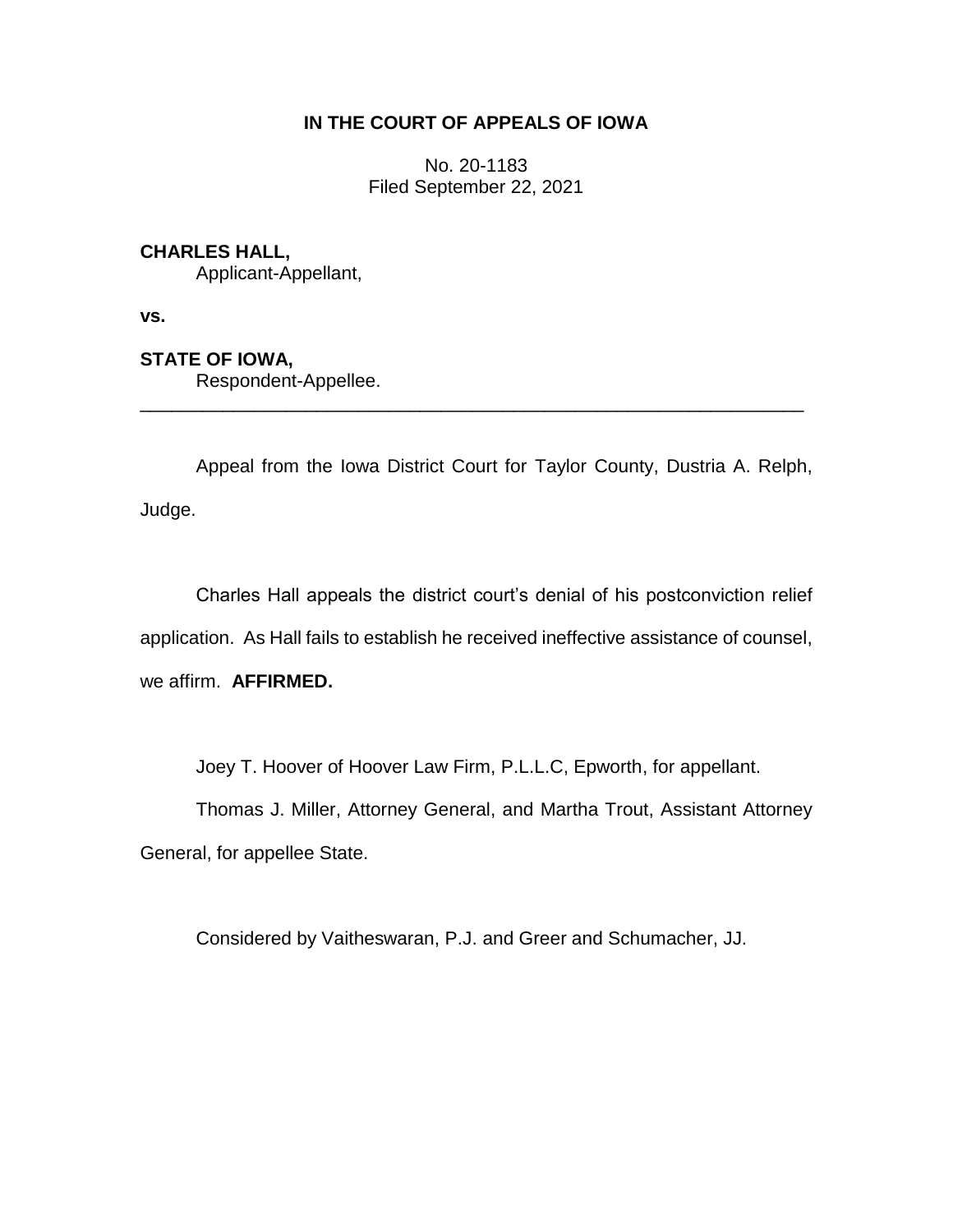# **IN THE COURT OF APPEALS OF IOWA**

No. 20-1183 Filed September 22, 2021

## **CHARLES HALL,**

Applicant-Appellant,

**vs.**

### **STATE OF IOWA,**

Respondent-Appellee.

Appeal from the Iowa District Court for Taylor County, Dustria A. Relph, Judge.

\_\_\_\_\_\_\_\_\_\_\_\_\_\_\_\_\_\_\_\_\_\_\_\_\_\_\_\_\_\_\_\_\_\_\_\_\_\_\_\_\_\_\_\_\_\_\_\_\_\_\_\_\_\_\_\_\_\_\_\_\_\_\_\_

Charles Hall appeals the district court's denial of his postconviction relief application. As Hall fails to establish he received ineffective assistance of counsel, we affirm. **AFFIRMED.**

Joey T. Hoover of Hoover Law Firm, P.L.L.C, Epworth, for appellant.

Thomas J. Miller, Attorney General, and Martha Trout, Assistant Attorney General, for appellee State.

Considered by Vaitheswaran, P.J. and Greer and Schumacher, JJ.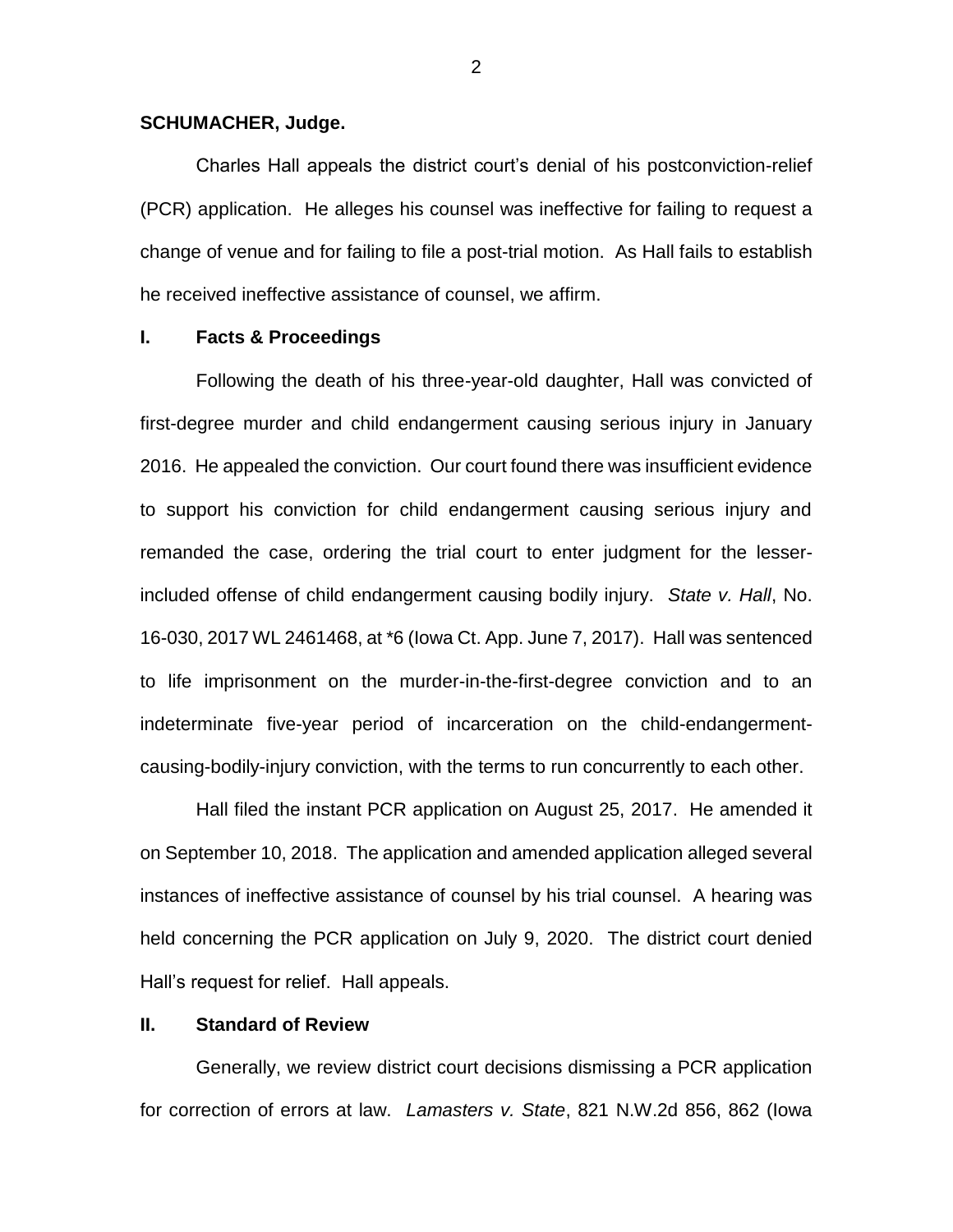#### **SCHUMACHER, Judge.**

Charles Hall appeals the district court's denial of his postconviction-relief (PCR) application. He alleges his counsel was ineffective for failing to request a change of venue and for failing to file a post-trial motion. As Hall fails to establish he received ineffective assistance of counsel, we affirm.

## **I. Facts & Proceedings**

Following the death of his three-year-old daughter, Hall was convicted of first-degree murder and child endangerment causing serious injury in January 2016. He appealed the conviction. Our court found there was insufficient evidence to support his conviction for child endangerment causing serious injury and remanded the case, ordering the trial court to enter judgment for the lesserincluded offense of child endangerment causing bodily injury. *State v. Hall*, No. 16-030, 2017 WL 2461468, at \*6 (Iowa Ct. App. June 7, 2017). Hall was sentenced to life imprisonment on the murder-in-the-first-degree conviction and to an indeterminate five-year period of incarceration on the child-endangermentcausing-bodily-injury conviction, with the terms to run concurrently to each other.

Hall filed the instant PCR application on August 25, 2017. He amended it on September 10, 2018. The application and amended application alleged several instances of ineffective assistance of counsel by his trial counsel. A hearing was held concerning the PCR application on July 9, 2020. The district court denied Hall's request for relief. Hall appeals.

## **II. Standard of Review**

Generally, we review district court decisions dismissing a PCR application for correction of errors at law. *Lamasters v. State*, 821 N.W.2d 856, 862 (Iowa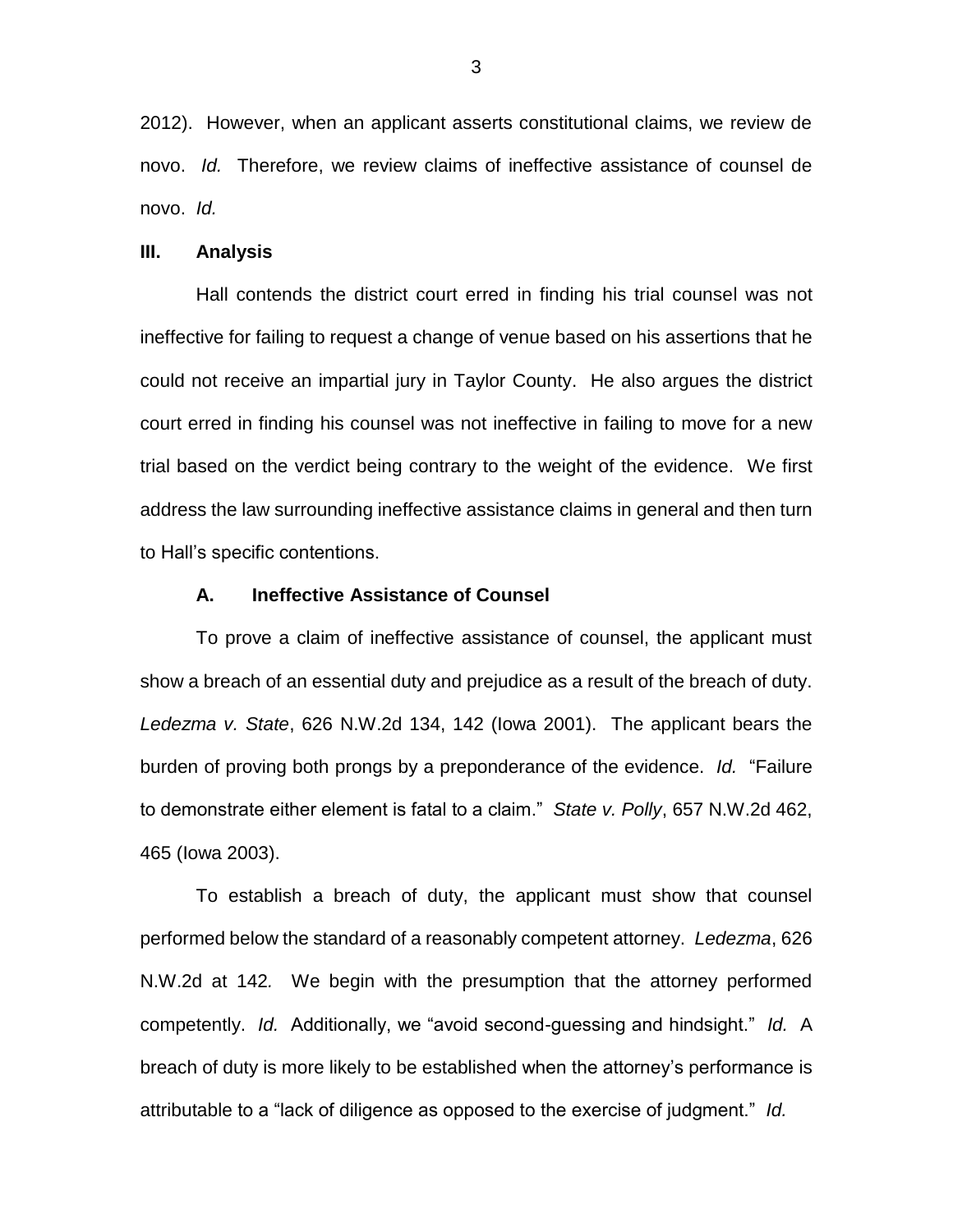2012). However, when an applicant asserts constitutional claims, we review de novo. *Id.* Therefore, we review claims of ineffective assistance of counsel de novo. *Id.*

#### **III. Analysis**

Hall contends the district court erred in finding his trial counsel was not ineffective for failing to request a change of venue based on his assertions that he could not receive an impartial jury in Taylor County. He also argues the district court erred in finding his counsel was not ineffective in failing to move for a new trial based on the verdict being contrary to the weight of the evidence. We first address the law surrounding ineffective assistance claims in general and then turn to Hall's specific contentions.

#### **A. Ineffective Assistance of Counsel**

To prove a claim of ineffective assistance of counsel, the applicant must show a breach of an essential duty and prejudice as a result of the breach of duty. *Ledezma v. State*, 626 N.W.2d 134, 142 (Iowa 2001). The applicant bears the burden of proving both prongs by a preponderance of the evidence. *Id.* "Failure to demonstrate either element is fatal to a claim." *State v. Polly*, 657 N.W.2d 462, 465 (Iowa 2003).

To establish a breach of duty, the applicant must show that counsel performed below the standard of a reasonably competent attorney. *Ledezma*, 626 N.W.2d at 142*.* We begin with the presumption that the attorney performed competently. *Id.* Additionally, we "avoid second-guessing and hindsight." *Id.* A breach of duty is more likely to be established when the attorney's performance is attributable to a "lack of diligence as opposed to the exercise of judgment." *Id.*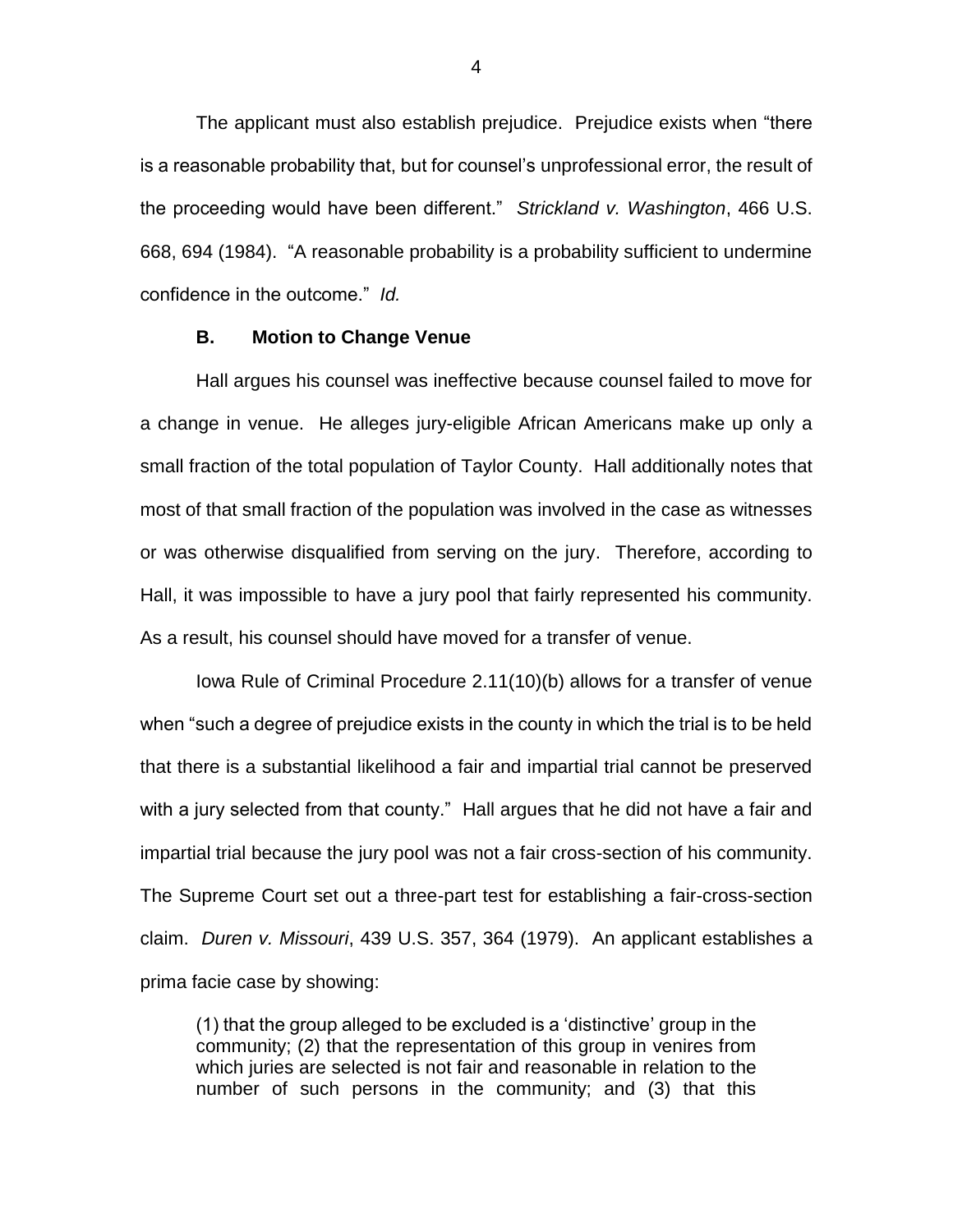The applicant must also establish prejudice. Prejudice exists when "there is a reasonable probability that, but for counsel's unprofessional error, the result of the proceeding would have been different." *Strickland v. Washington*, 466 U.S. 668, 694 (1984). "A reasonable probability is a probability sufficient to undermine confidence in the outcome." *Id.* 

#### **B. Motion to Change Venue**

Hall argues his counsel was ineffective because counsel failed to move for a change in venue. He alleges jury-eligible African Americans make up only a small fraction of the total population of Taylor County. Hall additionally notes that most of that small fraction of the population was involved in the case as witnesses or was otherwise disqualified from serving on the jury. Therefore, according to Hall, it was impossible to have a jury pool that fairly represented his community. As a result, his counsel should have moved for a transfer of venue.

Iowa Rule of Criminal Procedure 2.11(10)(b) allows for a transfer of venue when "such a degree of prejudice exists in the county in which the trial is to be held that there is a substantial likelihood a fair and impartial trial cannot be preserved with a jury selected from that county." Hall argues that he did not have a fair and impartial trial because the jury pool was not a fair cross-section of his community. The Supreme Court set out a three-part test for establishing a fair-cross-section claim. *Duren v. Missouri*, 439 U.S. 357, 364 (1979). An applicant establishes a prima facie case by showing:

(1) that the group alleged to be excluded is a 'distinctive' group in the community; (2) that the representation of this group in venires from which juries are selected is not fair and reasonable in relation to the number of such persons in the community; and (3) that this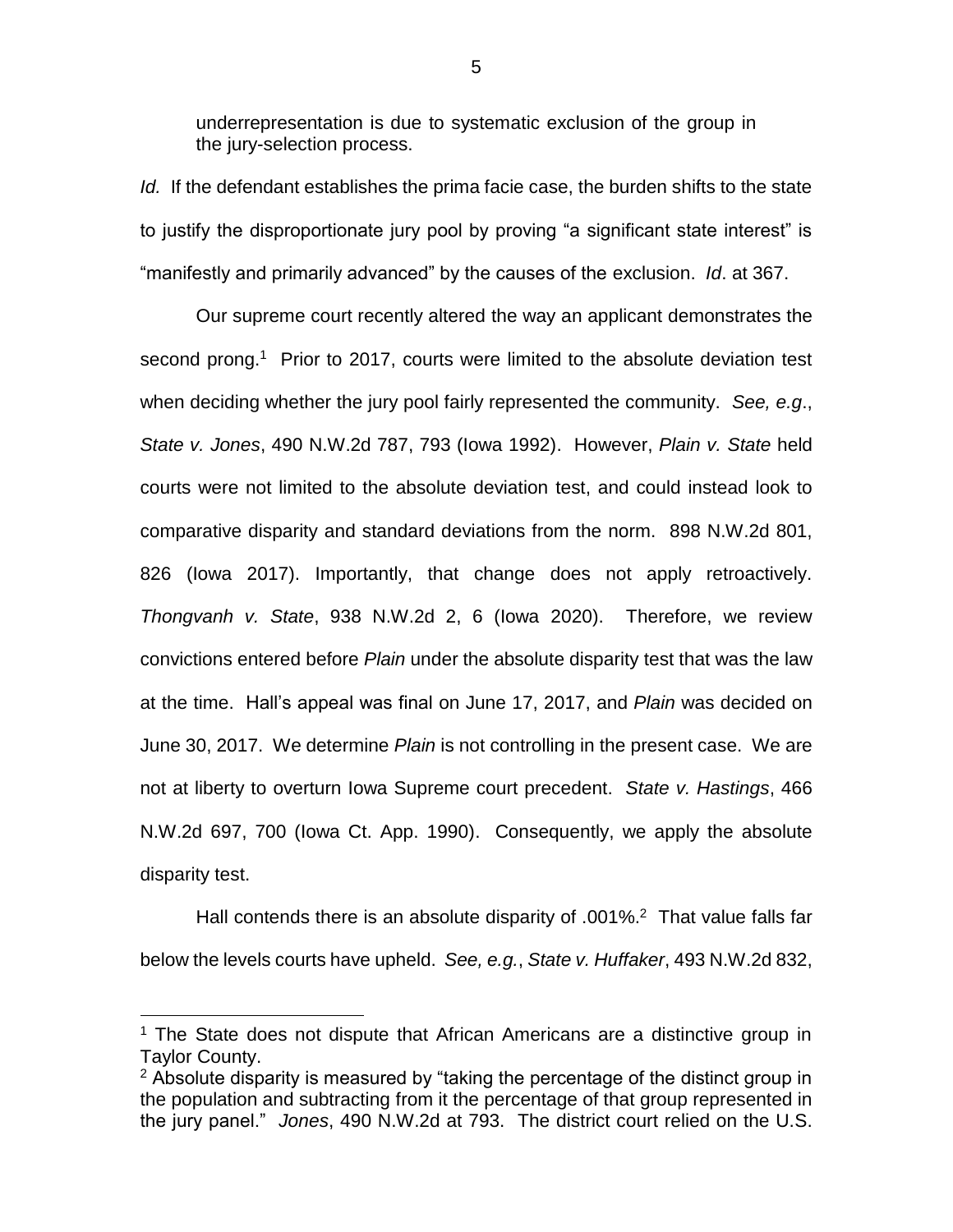underrepresentation is due to systematic exclusion of the group in the jury-selection process.

*Id.* If the defendant establishes the prima facie case, the burden shifts to the state to justify the disproportionate jury pool by proving "a significant state interest" is "manifestly and primarily advanced" by the causes of the exclusion. *Id*. at 367.

Our supreme court recently altered the way an applicant demonstrates the second prong.<sup>1</sup> Prior to 2017, courts were limited to the absolute deviation test when deciding whether the jury pool fairly represented the community. *See, e.g*., *State v. Jones*, 490 N.W.2d 787, 793 (Iowa 1992). However, *Plain v. State* held courts were not limited to the absolute deviation test, and could instead look to comparative disparity and standard deviations from the norm. 898 N.W.2d 801, 826 (Iowa 2017). Importantly, that change does not apply retroactively. *Thongvanh v. State*, 938 N.W.2d 2, 6 (Iowa 2020). Therefore, we review convictions entered before *Plain* under the absolute disparity test that was the law at the time. Hall's appeal was final on June 17, 2017, and *Plain* was decided on June 30, 2017. We determine *Plain* is not controlling in the present case. We are not at liberty to overturn Iowa Supreme court precedent. *State v. Hastings*, 466 N.W.2d 697, 700 (Iowa Ct. App. 1990). Consequently, we apply the absolute disparity test.

Hall contends there is an absolute disparity of .001%.<sup>2</sup> That value falls far below the levels courts have upheld. *See, e.g.*, *State v. Huffaker*, 493 N.W.2d 832,

 $\overline{a}$ 

<sup>&</sup>lt;sup>1</sup> The State does not dispute that African Americans are a distinctive group in Taylor County.

 $2$  Absolute disparity is measured by "taking the percentage of the distinct group in the population and subtracting from it the percentage of that group represented in the jury panel." *Jones*, 490 N.W.2d at 793. The district court relied on the U.S.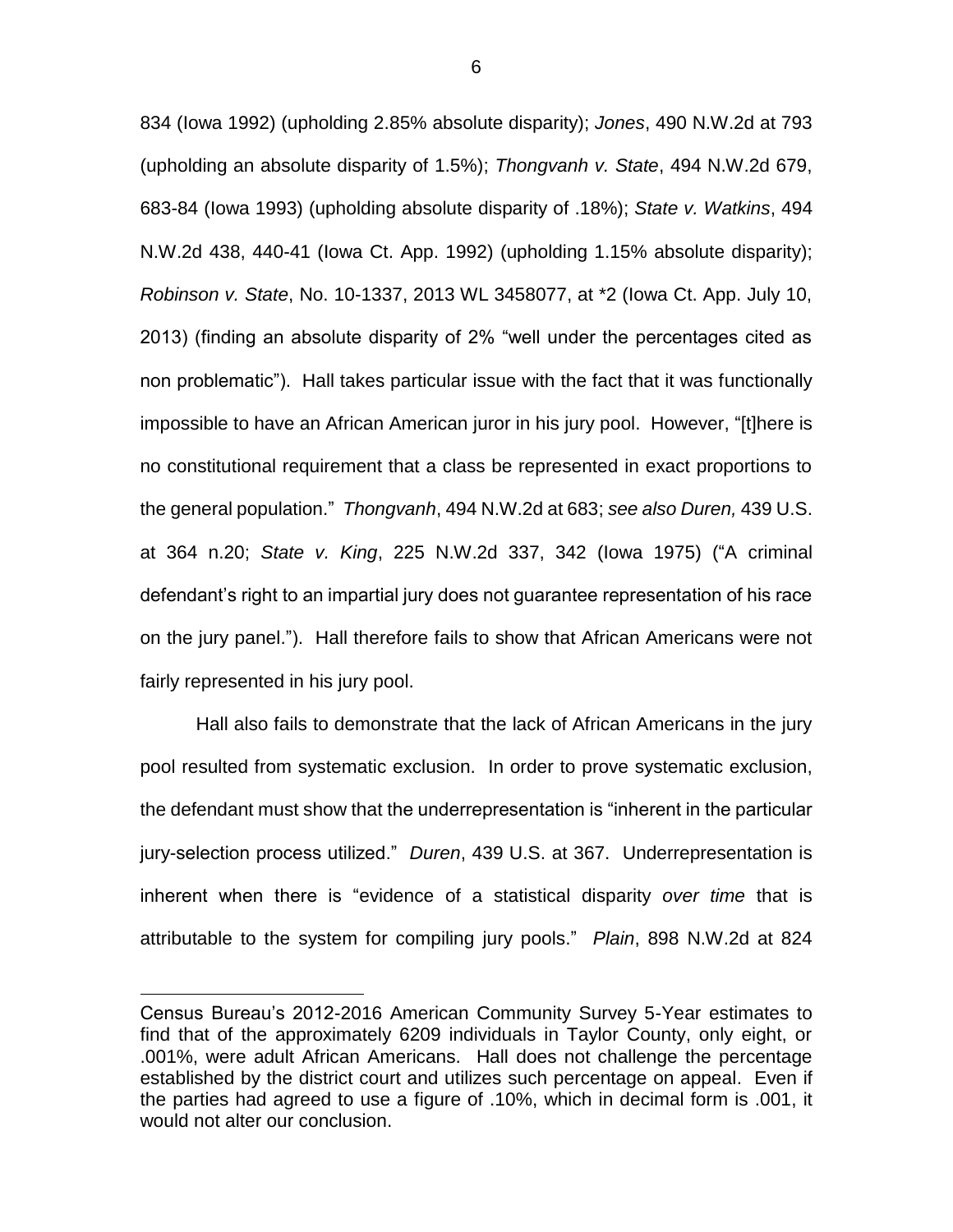834 (Iowa 1992) (upholding 2.85% absolute disparity); *Jones*, 490 N.W.2d at 793 (upholding an absolute disparity of 1.5%); *Thongvanh v. State*, 494 N.W.2d 679, 683-84 (Iowa 1993) (upholding absolute disparity of .18%); *State v. Watkins*, 494 N.W.2d 438, 440-41 (Iowa Ct. App. 1992) (upholding 1.15% absolute disparity); *Robinson v. State*, No. 10-1337, 2013 WL 3458077, at \*2 (Iowa Ct. App. July 10, 2013) (finding an absolute disparity of 2% "well under the percentages cited as non problematic"). Hall takes particular issue with the fact that it was functionally impossible to have an African American juror in his jury pool. However, "[t]here is no constitutional requirement that a class be represented in exact proportions to the general population." *Thongvanh*, 494 N.W.2d at 683; *see also Duren,* 439 U.S. at 364 n.20; *State v. King*, 225 N.W.2d 337, 342 (Iowa 1975) ("A criminal defendant's right to an impartial jury does not guarantee representation of his race on the jury panel."). Hall therefore fails to show that African Americans were not fairly represented in his jury pool.

Hall also fails to demonstrate that the lack of African Americans in the jury pool resulted from systematic exclusion. In order to prove systematic exclusion, the defendant must show that the underrepresentation is "inherent in the particular jury-selection process utilized." *Duren*, 439 U.S. at 367. Underrepresentation is inherent when there is "evidence of a statistical disparity *over time* that is attributable to the system for compiling jury pools." *Plain*, 898 N.W.2d at 824

 $\overline{a}$ 

Census Bureau's 2012-2016 American Community Survey 5-Year estimates to find that of the approximately 6209 individuals in Taylor County, only eight, or .001%, were adult African Americans. Hall does not challenge the percentage established by the district court and utilizes such percentage on appeal. Even if the parties had agreed to use a figure of .10%, which in decimal form is .001, it would not alter our conclusion.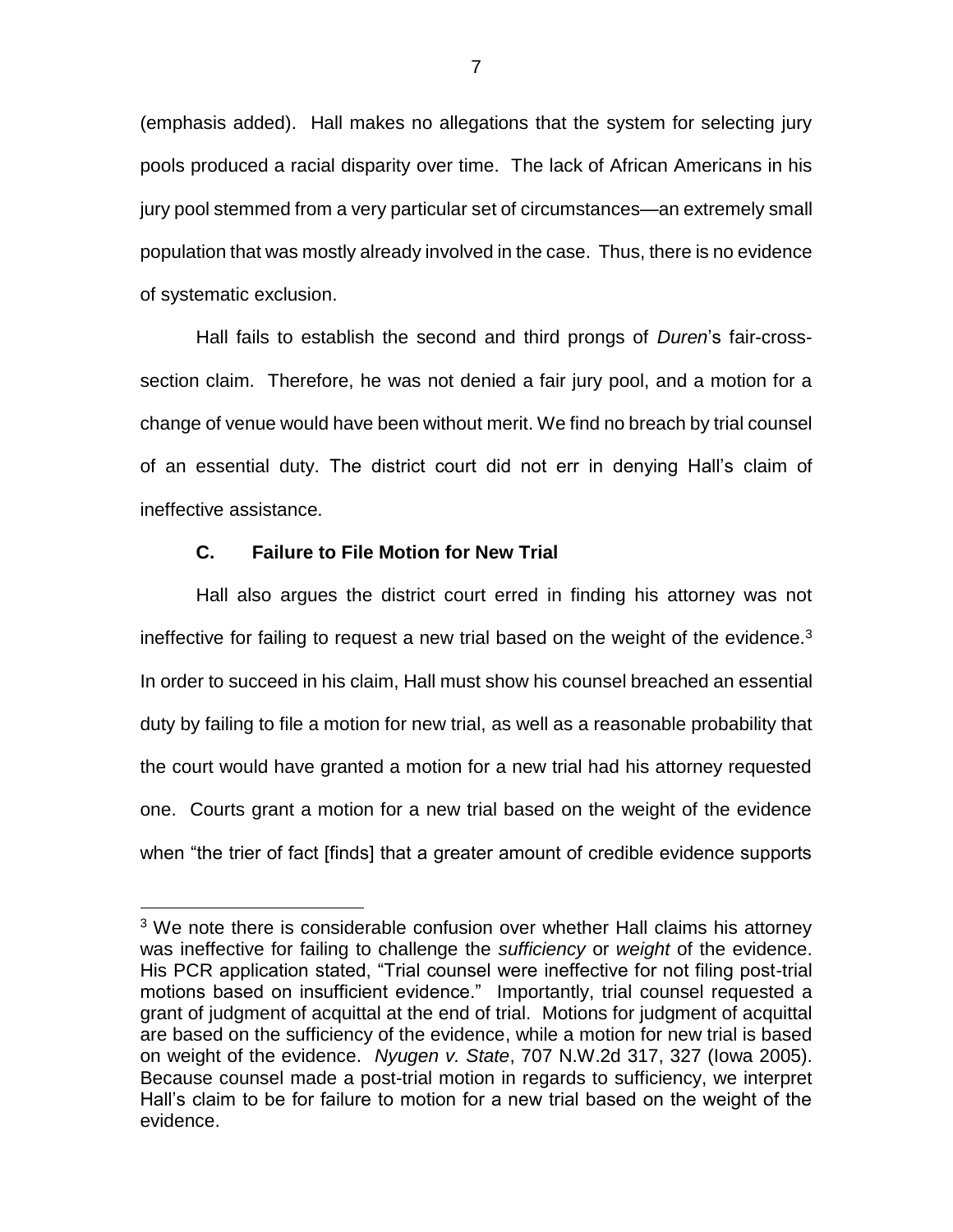(emphasis added). Hall makes no allegations that the system for selecting jury pools produced a racial disparity over time. The lack of African Americans in his jury pool stemmed from a very particular set of circumstances—an extremely small population that was mostly already involved in the case. Thus, there is no evidence of systematic exclusion.

Hall fails to establish the second and third prongs of *Duren*'s fair-crosssection claim. Therefore, he was not denied a fair jury pool, and a motion for a change of venue would have been without merit. We find no breach by trial counsel of an essential duty. The district court did not err in denying Hall's claim of ineffective assistance.

### **C. Failure to File Motion for New Trial**

 $\overline{a}$ 

Hall also argues the district court erred in finding his attorney was not ineffective for failing to request a new trial based on the weight of the evidence. $3$ In order to succeed in his claim, Hall must show his counsel breached an essential duty by failing to file a motion for new trial, as well as a reasonable probability that the court would have granted a motion for a new trial had his attorney requested one. Courts grant a motion for a new trial based on the weight of the evidence when "the trier of fact [finds] that a greater amount of credible evidence supports

<sup>&</sup>lt;sup>3</sup> We note there is considerable confusion over whether Hall claims his attorney was ineffective for failing to challenge the *sufficiency* or *weight* of the evidence. His PCR application stated, "Trial counsel were ineffective for not filing post-trial motions based on insufficient evidence." Importantly, trial counsel requested a grant of judgment of acquittal at the end of trial. Motions for judgment of acquittal are based on the sufficiency of the evidence, while a motion for new trial is based on weight of the evidence. *Nyugen v. State*, 707 N.W.2d 317, 327 (Iowa 2005). Because counsel made a post-trial motion in regards to sufficiency, we interpret Hall's claim to be for failure to motion for a new trial based on the weight of the evidence.